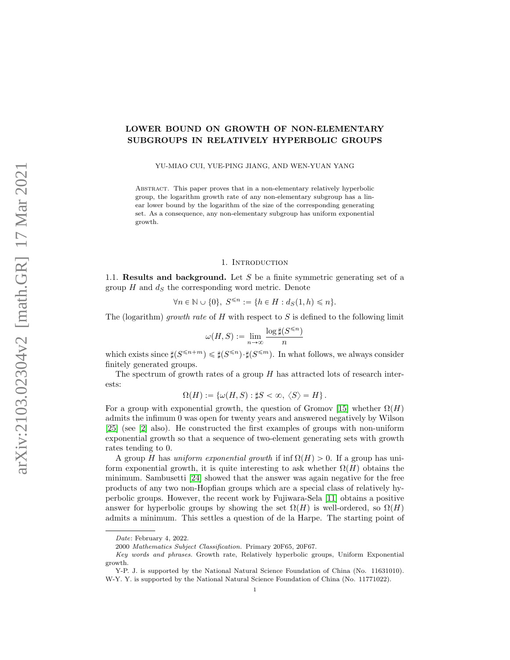# LOWER BOUND ON GROWTH OF NON-ELEMENTARY SUBGROUPS IN RELATIVELY HYPERBOLIC GROUPS

YU-MIAO CUI, YUE-PING JIANG, AND WEN-YUAN YANG

Abstract. This paper proves that in a non-elementary relatively hyperbolic group, the logarithm growth rate of any non-elementary subgroup has a linear lower bound by the logarithm of the size of the corresponding generating set. As a consequence, any non-elementary subgroup has uniform exponential growth.

# 1. INTRODUCTION

1.1. **Results and background.** Let S be a finite symmetric generating set of a group  $H$  and  $d<sub>S</sub>$  the corresponding word metric. Denote

$$
\forall n \in \mathbb{N} \cup \{0\}, \ S^{\leqslant n} := \{h \in H : d_S(1, h) \leqslant n\}.
$$

The (logarithm) growth rate of H with respect to S is defined to the following limit

$$
\omega(H, S) := \lim_{n \to \infty} \frac{\log \sharp (S^{\leq n})}{n}
$$

which exists since  $\sharp (S^{\leqslant n+m}) \leqslant \sharp (S^{\leqslant m}) \cdot \sharp (S^{\leqslant m})$ . In what follows, we always consider finitely generated groups.

The spectrum of growth rates of a group  $H$  has attracted lots of research interests:

$$
\Omega(H) := \left\{ \omega(H, S) : \sharp S < \infty, \ \langle S \rangle = H \right\}.
$$

For a group with exponential growth, the question of Gromov [\[15\]](#page-15-0) whether  $\Omega(H)$ admits the infimum 0 was open for twenty years and answered negatively by Wilson [\[25\]](#page-15-1) (see [\[2\]](#page-14-0) also). He constructed the first examples of groups with non-uniform exponential growth so that a sequence of two-element generating sets with growth rates tending to 0.

A group H has uniform exponential growth if inf  $\Omega(H) > 0$ . If a group has uniform exponential growth, it is quite interesting to ask whether  $\Omega(H)$  obtains the minimum. Sambusetti [\[24\]](#page-15-2) showed that the answer was again negative for the free products of any two non-Hopfian groups which are a special class of relatively hyperbolic groups. However, the recent work by Fujiwara-Sela [\[11\]](#page-15-3) obtains a positive answer for hyperbolic groups by showing the set  $\Omega(H)$  is well-ordered, so  $\Omega(H)$ admits a minimum. This settles a question of de la Harpe. The starting point of

Date: February 4, 2022.

<sup>2000</sup> Mathematics Subject Classification. Primary 20F65, 20F67.

Key words and phrases. Growth rate, Relatively hyperbolic groups, Uniform Exponential growth.

Y-P. J. is supported by the National Natural Science Foundation of China (No. 11631010). W-Y. Y. is supported by the National Natural Science Foundation of China (No. 11771022).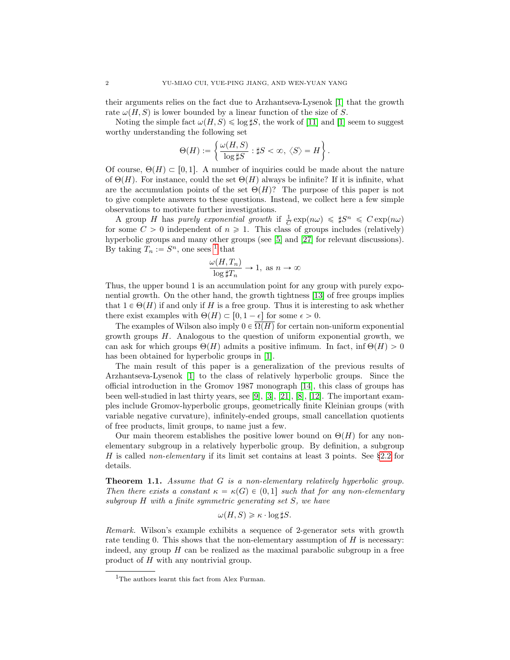their arguments relies on the fact due to Arzhantseva-Lysenok [\[1\]](#page-14-1) that the growth rate  $\omega(H, S)$  is lower bounded by a linear function of the size of S.

Noting the simple fact  $\omega(H, S) \leq \log \sharp S$ , the work of [\[11\]](#page-15-3) and [\[1\]](#page-14-1) seem to suggest worthy understanding the following set \*

$$
\Theta(H) := \left\{ \frac{\omega(H,S)}{\log \sharp S} : \sharp S < \infty, \ \langle S \rangle = H \right\}.
$$

Of course,  $\Theta(H) \subset [0, 1]$ . A number of inquiries could be made about the nature of  $\Theta(H)$ . For instance, could the set  $\Theta(H)$  always be infinite? If it is infinite, what are the accumulation points of the set  $\Theta(H)$ ? The purpose of this paper is not to give complete answers to these questions. Instead, we collect here a few simple observations to motivate further investigations.

A group H has purely exponential growth if  $\frac{1}{C} \exp(n\omega) \leq \sharp S^n \leq C \exp(n\omega)$ for some  $C > 0$  independent of  $n \ge 1$ . This class of groups includes (relatively) hyperbolic groups and many other groups (see [\[5\]](#page-14-2) and [\[27\]](#page-15-4) for relevant discussions). By taking  $T_n := S^n$ , one sees <sup>[1](#page-1-0)</sup> that

$$
\frac{\omega(H, T_n)}{\log \sharp T_n} \to 1, \text{ as } n \to \infty
$$

Thus, the upper bound 1 is an accumulation point for any group with purely exponential growth. On the other hand, the growth tightness [\[13\]](#page-15-5) of free groups implies that  $1 \in \Theta(H)$  if and only if H is a free group. Thus it is interesting to ask whether there exist examples with  $\Theta(H) \subset [0, 1 - \epsilon]$  for some  $\epsilon > 0$ .

The examples of Wilson also imply  $0 \in \overline{\Omega(H)}$  for certain non-uniform exponential growth groups  $H$ . Analogous to the question of uniform exponential growth, we can ask for which groups  $\Theta(H)$  admits a positive infimum. In fact, inf  $\Theta(H) > 0$ has been obtained for hyperbolic groups in [\[1\]](#page-14-1).

The main result of this paper is a generalization of the previous results of Arzhantseva-Lysenok [\[1\]](#page-14-1) to the class of relatively hyperbolic groups. Since the official introduction in the Gromov 1987 monograph [\[14\]](#page-15-6), this class of groups has been well-studied in last thirty years, see [\[9\]](#page-15-7), [\[3\]](#page-14-3), [\[21\]](#page-15-8), [\[8\]](#page-15-9), [\[12\]](#page-15-10). The important examples include Gromov-hyperbolic groups, geometrically finite Kleinian groups (with variable negative curvature), infinitely-ended groups, small cancellation quotients of free products, limit groups, to name just a few.

Our main theorem establishes the positive lower bound on  $\Theta(H)$  for any nonelementary subgroup in a relatively hyperbolic group. By definition, a subgroup H is called non-elementary if its limit set contains at least 3 points. See §[2.2](#page-5-0) for details.

<span id="page-1-1"></span>Theorem 1.1. Assume that G is a non-elementary relatively hyperbolic group. Then there exists a constant  $\kappa = \kappa(G) \in (0, 1]$  such that for any non-elementary subgroup H with a finite symmetric generating set S, we have

$$
\omega(H, S) \geq \kappa \cdot \log \sharp S.
$$

Remark. Wilson's example exhibits a sequence of 2-generator sets with growth rate tending 0. This shows that the non-elementary assumption of  $H$  is necessary: indeed, any group  $H$  can be realized as the maximal parabolic subgroup in a free product of H with any nontrivial group.

<span id="page-1-0"></span><sup>&</sup>lt;sup>1</sup>The authors learnt this fact from Alex Furman.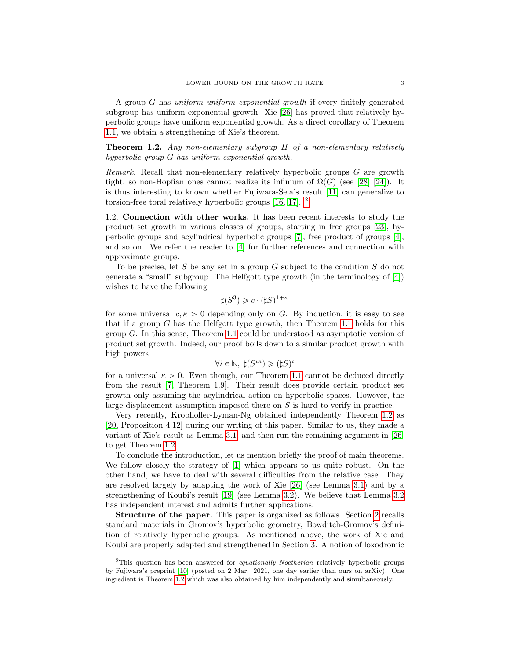A group G has uniform uniform exponential growth if every finitely generated subgroup has uniform exponential growth. Xie [\[26\]](#page-15-11) has proved that relatively hyperbolic groups have uniform exponential growth. As a direct corollary of Theorem [1.1,](#page-1-1) we obtain a strengthening of Xie's theorem.

<span id="page-2-1"></span>Theorem 1.2. Any non-elementary subgroup H of a non-elementary relatively hyperbolic group G has uniform exponential growth.

Remark. Recall that non-elementary relatively hyperbolic groups G are growth tight, so non-Hopfian ones cannot realize its infimum of  $\Omega(G)$  (see [\[28\]](#page-15-12) [\[24\]](#page-15-2)). It is thus interesting to known whether Fujiwara-Sela's result [\[11\]](#page-15-3) can generalize to torsion-free toral relatively hyperbolic groups [\[16,](#page-15-13) [17\]](#page-15-14). [2](#page-2-0)

1.2. Connection with other works. It has been recent interests to study the product set growth in various classes of groups, starting in free groups [\[23\]](#page-15-15), hyperbolic groups and acylindrical hyperbolic groups [\[7\]](#page-15-16), free product of groups [\[4\]](#page-14-4), and so on. We refer the reader to [\[4\]](#page-14-4) for further references and connection with approximate groups.

To be precise, let S be any set in a group  $G$  subject to the condition  $S$  do not generate a "small" subgroup. The Helfgott type growth (in the terminology of [\[4\]](#page-14-4)) wishes to have the following

$$
\sharp (S^3) \geqslant c \cdot (\sharp S)^{1+\kappa}
$$

for some universal  $c, \kappa > 0$  depending only on G. By induction, it is easy to see that if a group  $G$  has the Helfgott type growth, then Theorem [1.1](#page-1-1) holds for this group G. In this sense, Theorem [1.1](#page-1-1) could be understood as asymptotic version of product set growth. Indeed, our proof boils down to a similar product growth with high powers

$$
\forall i \in \mathbb{N}, \ \sharp (S^{i\kappa}) \geq (\sharp S)^i
$$

for a universal  $\kappa > 0$ . Even though, our Theorem [1.1](#page-1-1) cannot be deduced directly from the result [\[7,](#page-15-16) Theorem 1.9]. Their result does provide certain product set growth only assuming the acylindrical action on hyperbolic spaces. However, the large displacement assumption imposed there on S is hard to verify in practice.

Very recently, Kropholler-Lyman-Ng obtained independently Theorem [1.2](#page-2-1) as [\[20,](#page-15-17) Proposition 4.12] during our writing of this paper. Similar to us, they made a variant of Xie's result as Lemma [3.1,](#page-7-0) and then run the remaining argument in [\[26\]](#page-15-11) to get Theorem [1.2.](#page-2-1)

To conclude the introduction, let us mention briefly the proof of main theorems. We follow closely the strategy of [\[1\]](#page-14-1) which appears to us quite robust. On the other hand, we have to deal with several difficulties from the relative case. They are resolved largely by adapting the work of Xie [\[26\]](#page-15-11) (see Lemma [3.1\)](#page-7-0) and by a strengthening of Koubi's result [\[19\]](#page-15-18) (see Lemma [3.2\)](#page-8-0). We believe that Lemma [3.2](#page-8-0) has independent interest and admits further applications.

Structure of the paper. This paper is organized as follows. Section [2](#page-3-0) recalls standard materials in Gromov's hyperbolic geometry, Bowditch-Gromov's definition of relatively hyperbolic groups. As mentioned above, the work of Xie and Koubi are properly adapted and strengthened in Section [3.](#page-7-1) A notion of loxodromic

<span id="page-2-0"></span> $2$ This question has been answered for *equationally Noetherian* relatively hyperbolic groups by Fujiwara's preprint [\[10\]](#page-15-19) (posted on 2 Mar. 2021, one day earlier than ours on arXiv). One ingredient is Theorem [1.2](#page-2-1) which was also obtained by him independently and simultaneously.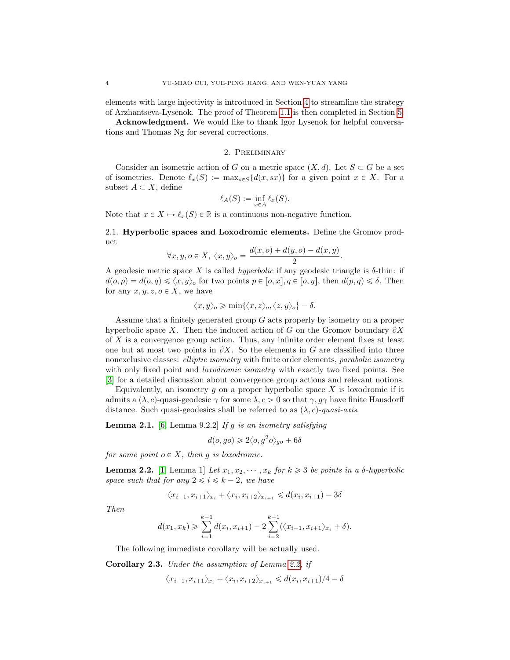elements with large injectivity is introduced in Section [4](#page-9-0) to streamline the strategy of Arzhantseva-Lysenok. The proof of Theorem [1.1](#page-1-1) is then completed in Section [5.](#page-12-0)

Acknowledgment. We would like to thank Igor Lysenok for helpful conversations and Thomas Ng for several corrections.

#### 2. Preliminary

<span id="page-3-0"></span>Consider an isometric action of G on a metric space  $(X, d)$ . Let  $S \subset G$  be a set of isometries. Denote  $\ell_x(S) := \max_{s \in S} \{d(x, sx)\}\)$  for a given point  $x \in X$ . For a subset  $A \subset X$ , define

$$
\ell_A(S) := \inf_{x \in A} \ell_x(S).
$$

Note that  $x \in X \mapsto \ell_x(S) \in \mathbb{R}$  is a continuous non-negative function.

2.1. Hyperbolic spaces and Loxodromic elements. Define the Gromov product

$$
\forall x, y, o \in X, \ \langle x, y \rangle_o = \frac{d(x, o) + d(y, o) - d(x, y)}{2}.
$$

A geodesic metric space X is called *hyperbolic* if any geodesic triangle is  $\delta$ -thin: if  $d(o, p) = d(o, q) \leq \langle x, y \rangle_o$  for two points  $p \in [o, x], q \in [o, y]$ , then  $d(p, q) \leq \delta$ . Then for any  $x, y, z, o \in X$ , we have

$$
\langle x, y \rangle_o \geqslant \min\{\langle x, z \rangle_o, \langle z, y \rangle_o\} - \delta.
$$

Assume that a finitely generated group  $G$  acts properly by isometry on a proper hyperbolic space X. Then the induced action of G on the Gromov boundary  $\partial X$ of X is a convergence group action. Thus, any infinite order element fixes at least one but at most two points in  $\partial X$ . So the elements in G are classified into three nonexclusive classes: *elliptic isometry* with finite order elements, *parabolic isometry* with only fixed point and *loxodromic isometry* with exactly two fixed points. See [\[3\]](#page-14-3) for a detailed discussion about convergence group actions and relevant notions.

Equivalently, an isometry  $g$  on a proper hyperbolic space  $X$  is loxodromic if it admits a  $(\lambda, c)$ -quasi-geodesic  $\gamma$  for some  $\lambda, c > 0$  so that  $\gamma, q\gamma$  have finite Hausdorff distance. Such quasi-geodesics shall be referred to as  $(\lambda, c)$ -quasi-axis.

<span id="page-3-2"></span>**Lemma 2.1.** [\[6,](#page-15-20) Lemma 9.2.2] If g is an isometry satisfying

$$
d(o, go) \ge 2\langle o, g^2 o \rangle_{go} + 6\delta
$$

for some point  $o \in X$ , then g is loxodromic.

<span id="page-3-1"></span>**Lemma 2.2.** [\[1,](#page-14-1) Lemma 1] Let  $x_1, x_2, \dots, x_k$  for  $k \geq 3$  be points in a  $\delta$ -hyperbolic space such that for any  $2 \leq i \leq k - 2$ , we have

$$
\langle x_{i-1}, x_{i+1} \rangle_{x_i} + \langle x_i, x_{i+2} \rangle_{x_{i+1}} \le d(x_i, x_{i+1}) - 3\delta
$$

Then

$$
d(x_1, x_k) \geqslant \sum_{i=1}^{k-1} d(x_i, x_{i+1}) - 2 \sum_{i=2}^{k-1} (\langle x_{i-1}, x_{i+1} \rangle_{x_i} + \delta).
$$

The following immediate corollary will be actually used.

<span id="page-3-3"></span>Corollary 2.3. Under the assumption of Lemma [2.2,](#page-3-1) if

$$
\langle x_{i-1}, x_{i+1} \rangle_{x_i} + \langle x_i, x_{i+2} \rangle_{x_{i+1}} \le d(x_i, x_{i+1})/4 - \delta
$$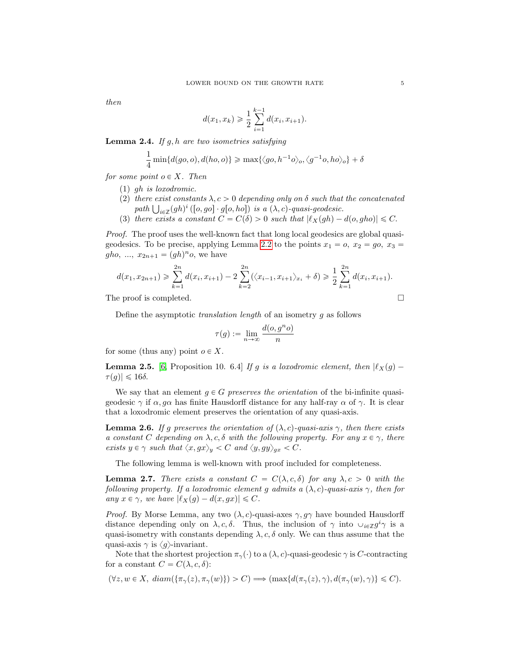then

$$
d(x_1, x_k) \geqslant \frac{1}{2} \sum_{i=1}^{k-1} d(x_i, x_{i+1}).
$$

<span id="page-4-3"></span>**Lemma 2.4.** If  $g, h$  are two isometries satisfying

$$
\frac{1}{4}\min\{d(go, o), d(ho, o)\} \ge \max\{\langle go, h^{-1}o\rangle_o, \langle g^{-1}o, ho\rangle_o\} + \delta
$$

for some point  $o \in X$ . Then

- (1) gh is loxodromic.
- (2) there exist constants  $\lambda, c > 0$  depending only on  $\delta$  such that the concatenated there exist constants  $\lambda, c > 0$  depending only on  $\delta$  such that <br>path  $\bigcup_{i \in \mathbb{Z}} (gh)^i ([o, go] \cdot g[o, ho])$  is a  $(\lambda, c)$ -quasi-geodesic.
- (3) there exists a constant  $C = C(\delta) > 0$  such that  $|\ell_X(gh) d(o, gho)| \leq C$ .

Proof. The proof uses the well-known fact that long local geodesics are global quasi-geodesics. To be precise, applying Lemma [2.2](#page-3-1) to the points  $x_1 = 0$ ,  $x_2 = go$ ,  $x_3 =$  $gho, ..., x_{2n+1} = (gh)^n o$ , we have

$$
d(x_1, x_{2n+1}) \geq \sum_{k=1}^{2n} d(x_i, x_{i+1}) - 2 \sum_{k=2}^{2n} (\langle x_{i-1}, x_{i+1} \rangle_{x_i} + \delta) \geq \frac{1}{2} \sum_{k=1}^{2n} d(x_i, x_{i+1}).
$$

The proof is completed.

Define the asymptotic translation length of an isometry g as follows

$$
\tau(g) := \lim_{n \to \infty} \frac{d(o, g^n o)}{n}
$$

for some (thus any) point  $o \in X$ .

<span id="page-4-2"></span>**Lemma 2.5.** [\[6,](#page-15-20) Proposition 10. 6.4] If g is a loxodromic element, then  $|\ell_X(g) - \ell_Y(g)|$  $\tau(g)| \leq 16\delta.$ 

We say that an element  $g \in G$  preserves the orientation of the bi-infinite quasigeodesic  $\gamma$  if  $\alpha$ ,  $q\alpha$  has finite Hausdorff distance for any half-ray  $\alpha$  of  $\gamma$ . It is clear that a loxodromic element preserves the orientation of any quasi-axis.

<span id="page-4-0"></span>**Lemma 2.6.** If g preserves the orientation of  $(\lambda, c)$ -quasi-axis  $\gamma$ , then there exists a constant C depending on  $\lambda$ , c,  $\delta$  with the following property. For any  $x \in \gamma$ , there exists  $y \in \gamma$  such that  $\langle x, gx \rangle_y < C$  and  $\langle y, gy \rangle_{gx} < C$ .

The following lemma is well-known with proof included for completeness.

<span id="page-4-1"></span>**Lemma 2.7.** There exists a constant  $C = C(\lambda, c, \delta)$  for any  $\lambda, c > 0$  with the following property. If a loxodromic element g admits a  $(\lambda, c)$ -quasi-axis  $\gamma$ , then for any  $x \in \gamma$ , we have  $|\ell_X(g) - d(x, gx)| \leq C$ .

*Proof.* By Morse Lemma, any two  $(\lambda, c)$ -quasi-axes  $\gamma, g\gamma$  have bounded Hausdorff distance depending only on  $\lambda, c, \delta$ . Thus, the inclusion of  $\gamma$  into  $\cup_{i\in\mathbb{Z}} g^i\gamma$  is a quasi-isometry with constants depending  $\lambda, c, \delta$  only. We can thus assume that the quasi-axis  $\gamma$  is  $\langle g \rangle$ -invariant.

Note that the shortest projection  $\pi_{\gamma}(\cdot)$  to a  $(\lambda, c)$ -quasi-geodesic  $\gamma$  is C-contracting for a constant  $C = C(\lambda, c, \delta)$ :

 $(\forall z, w \in X, \, diam(\{\pi_\gamma(z), \pi_\gamma(w)\}) > C) \Longrightarrow (max\{d(\pi_\gamma(z), \gamma), d(\pi_\gamma(w), \gamma)\} \leq C).$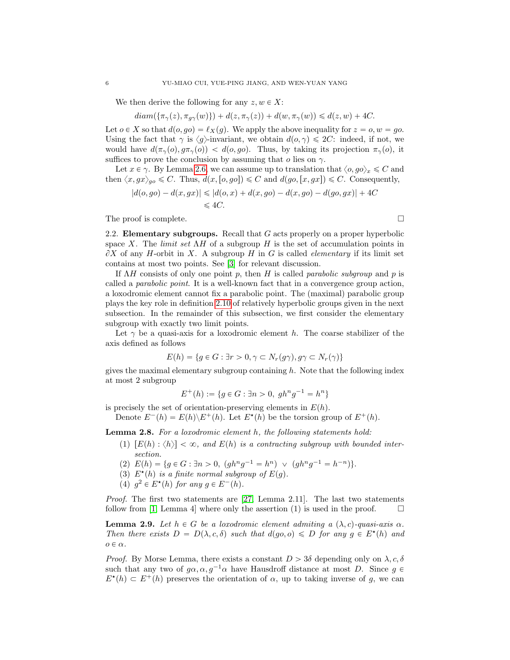We then derive the following for any  $z, w \in X$ :

 $diam(\{\pi_\gamma(z), \pi_{q\gamma}(w)\}) + d(z, \pi_\gamma(z)) + d(w, \pi_\gamma(w)) \leq d(z, w) + 4C.$ 

Let  $o \in X$  so that  $d(o, go) = \ell_X(q)$ . We apply the above inequality for  $z = o, w = go$ . Using the fact that  $\gamma$  is  $\langle q \rangle$ -invariant, we obtain  $d(o, \gamma) \leq 2C$ : indeed, if not, we would have  $d(\pi_{\gamma}(o), g\pi_{\gamma}(o)) < d(o, go)$ . Thus, by taking its projection  $\pi_{\gamma}(o)$ , it suffices to prove the conclusion by assuming that  $o$  lies on  $\gamma$ .

Let  $x \in \gamma$ . By Lemma [2.6,](#page-4-0) we can assume up to translation that  $\langle o, go \rangle_x \leq C$  and then  $\langle x, gx \rangle_{ao} \leq C$ . Thus,  $d(x, [o, go]) \leq C$  and  $d(go, [x, gx]) \leq C$ . Consequently,

$$
|d(o, go) - d(x, gx)| \leq |d(o, x) + d(x, go) - d(x, go) - d(go, gx)| + 4C
$$
  

$$
\leq 4C.
$$

The proof is complete.

<span id="page-5-0"></span>2.2. Elementary subgroups. Recall that  $G$  acts properly on a proper hyperbolic space X. The *limit set*  $\Lambda H$  of a subgroup H is the set of accumulation points in  $\partial X$  of any H-orbit in X. A subgroup H in G is called *elementary* if its limit set contains at most two points. See [\[3\]](#page-14-3) for relevant discussion.

If  $\Lambda H$  consists of only one point p, then H is called parabolic subgroup and p is called a parabolic point. It is a well-known fact that in a convergence group action, a loxodromic element cannot fix a parabolic point. The (maximal) parabolic group plays the key role in definition [2.10](#page-6-0) of relatively hyperbolic groups given in the next subsection. In the remainder of this subsection, we first consider the elementary subgroup with exactly two limit points.

Let  $\gamma$  be a quasi-axis for a loxodromic element h. The coarse stabilizer of the axis defined as follows

$$
E(h) = \{ g \in G : \exists r > 0, \gamma \subset N_r(g\gamma), g\gamma \subset N_r(\gamma) \}
$$

gives the maximal elementary subgroup containing  $h$ . Note that the following index at most 2 subgroup

$$
E^+(h) := \{ g \in G : \exists n > 0, \ gh^n g^{-1} = h^n \}
$$

is precisely the set of orientation-preserving elements in  $E(h)$ .

Denote  $E^-(h) = E(h) \backslash E^+(h)$ . Let  $E^{\star}(h)$  be the torsion group of  $E^+(h)$ .

Lemma 2.8. For a loxodromic element h, the following statements hold:

- (1)  $[E(h) : \langle h \rangle] < \infty$ , and  $E(h)$  is a contracting subgroup with bounded intersection.
- (2)  $E(h) = \{g \in G : \exists n > 0, (gh^n g^{-1} = h^n) \lor (gh^n g^{-1} = h^{-n})\}.$
- (3)  $E^{\star}(h)$  is a finite normal subgroup of  $E(g)$ .
- (4)  $g^2 \in E^*(h)$  for any  $g \in E^-(h)$ .

*Proof.* The first two statements are  $[27, \text{ Lemma } 2.11]$  $[27, \text{ Lemma } 2.11]$ . The last two statements follow from [\[1,](#page-14-1) Lemma 4] where only the assertion (1) is used in the proof.  $\Box$ 

<span id="page-5-1"></span>**Lemma 2.9.** Let  $h \in G$  be a loxodromic element admiting a  $(\lambda, c)$ -quasi-axis  $\alpha$ . Then there exists  $D = D(\lambda, c, \delta)$  such that  $d(go, o) \le D$  for any  $g \in E^*(h)$  and  $o \in \alpha$ .

*Proof.* By Morse Lemma, there exists a constant  $D > 3\delta$  depending only on  $\lambda, c, \delta$ such that any two of  $g\alpha, \alpha, g^{-1}\alpha$  have Hausdroff distance at most D. Since  $g \in$  $E^*(h) \subset E^+(h)$  preserves the orientation of  $\alpha$ , up to taking inverse of g, we can

$$
\Box
$$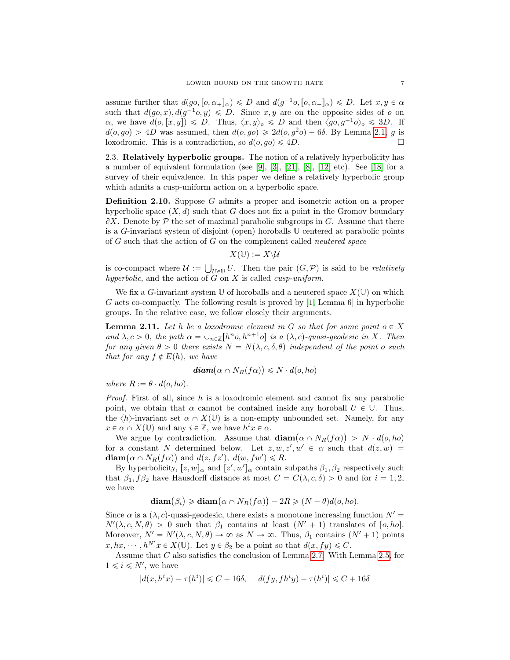assume further that  $d(go, [o, \alpha_+]_\alpha) \leq D$  and  $d(g^{-1}o, [o, \alpha_-]_\alpha) \leq D$ . Let  $x, y \in \alpha$ such that  $d(g_0, x), d(g^{-1}o, y) \le D$ . Since x, y are on the opposite sides of o on  $\alpha$ , we have  $d(o,[x,y]) \leq D$ . Thus,  $\langle x,y \rangle_o \leq D$  and then  $\langle go,g^{-1}o \rangle_o \leq 3D$ . If  $d(o, go) > 4D$  was assumed, then  $d(o, go) \geq 2d(o, g^2o) + 6\delta$ . By Lemma [2.1,](#page-3-2) g is loxodromic. This is a contradiction, so  $d(o, go) \leq 4D$ .

2.3. Relatively hyperbolic groups. The notion of a relatively hyperbolicity has a number of equivalent formulation (see [\[9\]](#page-15-7), [\[3\]](#page-14-3), [\[21\]](#page-15-8), [\[8\]](#page-15-9), [\[12\]](#page-15-10) etc). See [\[18\]](#page-15-21) for a survey of their equivalence. In this paper we define a relatively hyperbolic group which admits a cusp-uniform action on a hyperbolic space.

<span id="page-6-0"></span>Definition 2.10. Suppose G admits a proper and isometric action on a proper hyperbolic space  $(X, d)$  such that G does not fix a point in the Gromov boundary  $\partial X$ . Denote by P the set of maximal parabolic subgroups in G. Assume that there is a G-invariant system of disjoint (open) horoballs  $\mathbb{U}$  centered at parabolic points of G such that the action of G on the complement called neutered space

$$
X(\mathbb{U}):=X\backslash \mathcal{U}
$$

is co-compact where  $\mathcal{U} :=$  $U_{U\in\mathbb{U}}$  U. Then the pair  $(G,\mathcal{P})$  is said to be *relatively* hyperbolic, and the action of  $G$  on  $X$  is called *cusp-uniform*.

We fix a G-invariant system  $\mathbb{U}$  of horoballs and a neutered space  $X(\mathbb{U})$  on which G acts co-compactly. The following result is proved by [\[1,](#page-14-1) Lemma 6] in hyperbolic groups. In the relative case, we follow closely their arguments.

<span id="page-6-1"></span>**Lemma 2.11.** Let h be a loxodromic element in G so that for some point  $o \in X$ and  $\lambda, c > 0$ , the path  $\alpha = \cup_{n \in \mathbb{Z}} [h^n o, h^{n+1} o]$  is a  $(\lambda, c)$ -quasi-geodesic in X. Then for any given  $\theta > 0$  there exists  $N = N(\lambda, c, \delta, \theta)$  independent of the point o such that for any  $f \notin E(h)$ , we have<br>diam(

$$
\mathbf{diam}(\alpha \cap N_R(f\alpha)) \leqslant N \cdot d(o, ho)
$$

where  $R := \theta \cdot d(o, ho)$ .

*Proof.* First of all, since h is a loxodromic element and cannot fix any parabolic point, we obtain that  $\alpha$  cannot be contained inside any horoball  $U \in \mathbb{U}$ . Thus, the  $\langle h \rangle$ -invariant set  $\alpha \cap X(\mathbb{U})$  is a non-empty unbounded set. Namely, for any  $x \in \alpha \cap X(\mathbb{U})$  and any  $i \in \mathbb{Z}$ , we have  $h^i x \in \alpha$ .

 $\exists \alpha \cap X(\mathbb{U})$  and any  $i \in \mathbb{Z}$ , we have  $h^i x \in \alpha$ .<br>We argue by contradiction. Assume that  $\operatorname{diam}(\alpha \cap N_R(f\alpha)) > N \cdot d(o, ho)$ for a constant N determined below. Let  $z, w, z', w' \in \alpha$  such that  $d(z, w) =$ for a constant N determined below. Let  $z, w$ ,<br>diam $(\alpha \cap N_R(f\alpha))$  and  $d(z, fz'), d(w, fw') \le R$ .

By hyperbolicity,  $[z, w]_{\alpha}$  and  $[z', w']_{\alpha}$  contain subpaths  $\beta_1, \beta_2$  respectively such that  $\beta_1$ ,  $f\beta_2$  have Hausdorff distance at most  $C = C(\lambda, c, \delta) > 0$  and for  $i = 1, 2$ , we have

$$
\operatorname{diam}(\beta_i) \geq \operatorname{diam}(\alpha \cap N_R(f\alpha)) - 2R \geq (N - \theta)d(o, ho).
$$

Since  $\alpha$  is a  $(\lambda, c)$ -quasi-geodesic, there exists a monotone increasing function  $N' =$  $N'(\lambda, c, N, \theta) > 0$  such that  $\beta_1$  contains at least  $(N' + 1)$  translates of  $[0, ho]$ . Moreover,  $N' = N'(\lambda, c, N, \theta) \to \infty$  as  $N \to \infty$ . Thus,  $\beta_1$  contains  $(N'+1)$  points  $x, hx, \dots, h^{N'}x \in X(\mathbb{U})$ . Let  $y \in \beta_2$  be a point so that  $d(x, fy) \leq C$ .

Assume that C also satisfies the conclusion of Lemma [2.7.](#page-4-1) With Lemma [2.5,](#page-4-2) for  $1 \leq i \leq N'$ , we have

$$
|d(x, h^ix) - \tau(h^i)| \leq C + 16\delta, \quad |d(fy, fh^iy) - \tau(h^i)| \leq C + 16\delta
$$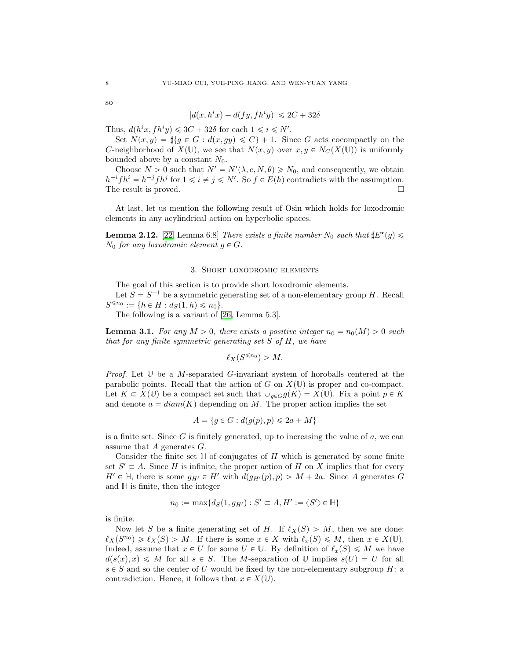so

$$
|d(x, h^ix) - d(fy, fh^iy)| \leq 2C + 32\delta
$$

Thus,  $d(h^ix, fh^iy) \leq 3C + 32\delta$  for each  $1 \leq i \leq N'$ .

Set  $N(x, y) = \frac{1}{2} \{ g \in G : d(x, gy) \leq C \} + 1$ . Since G acts cocompactly on the C-neighborhood of  $X(\mathbb{U})$ , we see that  $N(x, y)$  over  $x, y \in N_C(X(\mathbb{U}))$  is uniformly bounded above by a constant  $N_0$ .

Choose  $N > 0$  such that  $N' = N'(\lambda, c, N, \theta) \ge N_0$ , and consequently, we obtain  $h^{-i}fh^i = h^{-j}fh^j$  for  $1 \leq i \neq j \leq N'$ . So  $f \in E(h)$  contradicts with the assumption. The result is proved.

At last, let us mention the following result of Osin which holds for loxodromic elements in any acylindrical action on hyperbolic spaces.

<span id="page-7-2"></span>**Lemma 2.12.** [\[22,](#page-15-22) Lemma 6.8] There exists a finite number  $N_0$  such that  $\sharp E^*(g) \leq$  $N_0$  for any loxodromic element  $g \in G$ .

## 3. Short loxodromic elements

<span id="page-7-1"></span>The goal of this section is to provide short loxodromic elements.

Let  $S = S^{-1}$  be a symmetric generating set of a non-elementary group H. Recall  $S^{\leq n_0} := \{ h \in H : d_S(1, h) \leq n_0 \}.$ 

The following is a variant of [\[26,](#page-15-11) Lemma 5.3].

<span id="page-7-0"></span>**Lemma 3.1.** For any  $M > 0$ , there exists a positive integer  $n_0 = n_0(M) > 0$  such that for any finite symmetric generating set  $S$  of  $H$ , we have

$$
\ell_X(S^{\leqslant n_0}) > M.
$$

*Proof.* Let  $\mathbb U$  be a M-separated G-invariant system of horoballs centered at the parabolic points. Recall that the action of G on  $X(\mathbb{U})$  is proper and co-compact. Let  $K \subset X(\mathbb{U})$  be a compact set such that  $\cup_{g \in G} g(K) = X(\mathbb{U})$ . Fix a point  $p \in K$ and denote  $a = diam(K)$  depending on M. The proper action implies the set

$$
A = \{ g \in G : d(g(p), p) \le 2a + M \}
$$

is a finite set. Since  $G$  is finitely generated, up to increasing the value of  $a$ , we can assume that A generates G.

Consider the finite set  $\mathbb H$  of conjugates of H which is generated by some finite set  $S' \subset A$ . Since H is infinite, the proper action of H on X implies that for every  $H' \in \mathbb{H}$ , there is some  $g_{H'} \in H'$  with  $d(g_{H'}(p), p) > M + 2a$ . Since A generates G and **H** is finite, then the integer

$$
n_0 := \max\{d_S(1,g_{H'}) : S' \subset A, H' := \langle S' \rangle \in \mathbb{H}\}\
$$

is finite.

Now let S be a finite generating set of H. If  $\ell_X(S) > M$ , then we are done:  $\ell_X(S^{n_0}) \geq \ell_X(S) > M$ . If there is some  $x \in X$  with  $\ell_x(S) \leq M$ , then  $x \in X(\mathbb{U})$ . Indeed, assume that  $x \in U$  for some  $U \in \mathbb{U}$ . By definition of  $\ell_x(S) \leq M$  we have  $d(s(x), x) \leq M$  for all  $s \in S$ . The M-separation of U implies  $s(U) = U$  for all  $s \in S$  and so the center of U would be fixed by the non-elementary subgroup H: a contradiction. Hence, it follows that  $x \in X(\mathbb{U})$ .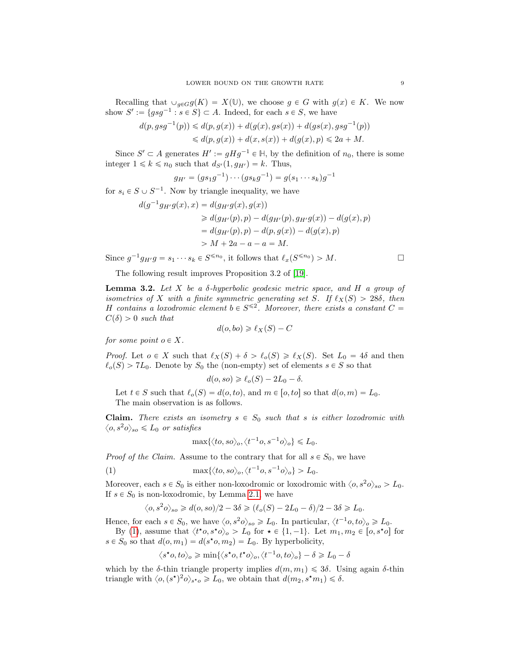Recalling that  $\bigcup_{g\in G}g(K) = X(\mathbb{U})$ , we choose  $g \in G$  with  $g(x) \in K$ . We now show  $S' := \{gsg^{-1} : s \in S\} \subset A$ . Indeed, for each  $s \in S$ , we have

$$
d(p, gsg^{-1}(p)) \le d(p, g(x)) + d(g(x), gs(x)) + d(gs(x), gsg^{-1}(p))
$$
  

$$
\le d(p, g(x)) + d(x, s(x)) + d(g(x), p) \le 2a + M.
$$

Since  $S' \subset A$  generates  $H' := gHg^{-1} \in \mathbb{H}$ , by the definition of  $n_0$ , there is some integer  $1 \leq k \leq n_0$  such that  $d_{S'}(1, q_{H'}) = k$ . Thus,

$$
g_{H'} = (gs_1g^{-1}) \cdots (gs_kg^{-1}) = g(s_1 \cdots s_k)g^{-1}
$$

for  $s_i \in S \cup S^{-1}$ . Now by triangle inequality, we have

$$
d(g^{-1}g_{H'}g(x), x) = d(g_{H'}g(x), g(x))
$$
  
\n
$$
\geq d(g_{H'}(p), p) - d(g_{H'}(p), g_{H'}g(x)) - d(g(x), p)
$$
  
\n
$$
= d(g_{H'}(p), p) - d(p, g(x)) - d(g(x), p)
$$
  
\n
$$
> M + 2a - a - a = M.
$$

Since  $g^{-1}g_{H'}g = s_1 \cdots s_k \in S^{\leq n_0}$ , it follows that  $\ell_x(S^{\leq n_0}) > M$ .

The following result improves Proposition 3.2 of [\[19\]](#page-15-18).

<span id="page-8-0"></span>**Lemma 3.2.** Let X be a  $\delta$ -hyperbolic geodesic metric space, and H a group of isometries of X with a finite symmetric generating set S. If  $\ell_X(S) > 28\delta$ , then H contains a loxodromic element  $b \in S^{\leq 2}$ . Moreover, there exists a constant  $C =$  $C(\delta) > 0$  such that

$$
d(o, bo) \geq \ell_X(S) - C
$$

for some point  $o \in X$ .

*Proof.* Let  $o \in X$  such that  $\ell_X(S) + \delta > \ell_o(S) \geq \ell_X(S)$ . Set  $L_0 = 4\delta$  and then  $\ell_o(S) > 7L_0$ . Denote by  $S_0$  the (non-empty) set of elements  $s \in S$  so that

$$
d(o, so) \geq \ell_o(S) - 2L_0 - \delta.
$$

Let  $t \in S$  such that  $\ell_o(S) = d(o, to)$ , and  $m \in [o, to]$  so that  $d(o, m) = L_0$ . The main observation is as follows.

**Claim.** There exists an isometry  $s \in S_0$  such that s is either loxodromic with  $\langle o, s^2o\rangle_{so} \leq L_0$  or satisfies

<span id="page-8-1"></span>
$$
\max\{\langle to, so\rangle_o, \langle t^{-1}o, s^{-1}o\rangle_o\} \leq L_0.
$$

*Proof of the Claim.* Assume to the contrary that for all  $s \in S_0$ , we have

(1) 
$$
\max\{\langle to, so\rangle_o, \langle t^{-1}o, s^{-1}o\rangle_o\} > L_0.
$$

Moreover, each  $s \in S_0$  is either non-loxodromic or loxodromic with  $\langle o, s^2 o \rangle_{so} > L_0$ . If  $s \in S_0$  is non-loxodromic, by Lemma [2.1,](#page-3-2) we have

$$
\langle o, s^2 o \rangle_{so} \geq d(o, so)/2 - 3\delta \geq (\ell_o(S) - 2L_0 - \delta)/2 - 3\delta \geq L_0.
$$

Hence, for each  $s \in S_0$ , we have  $\langle o, s^2 o \rangle_{so} \ge L_0$ . In particular,  $\langle t^{-1}o, to \rangle_o \ge L_0$ .

By [\(1\)](#page-8-1), assume that  $\langle t^*o, s^*o \rangle_o > L_0$  for  $\star \in \{1, -1\}$ . Let  $m_1, m_2 \in [o, s^*o]$  for  $s \in S_0$  so that  $d(o, m_1) = d(s^*o, m_2) = L_0$ . By hyperbolicity,

$$
\langle s^{\star}o, to \rangle_o \ge \min\{\langle s^{\star}o, t^{\star}o \rangle_o, \langle t^{-1}o, to \rangle_o\} - \delta \ge L_0 - \delta
$$

which by the  $\delta$ -thin triangle property implies  $d(m, m_1) \leq 3\delta$ . Using again  $\delta$ -thin triangle with  $\langle o, (s^{\star})^2 o \rangle_{s^{\star}o} \geq L_0$ , we obtain that  $d(m_2, s^{\star}m_1) \leq \delta$ .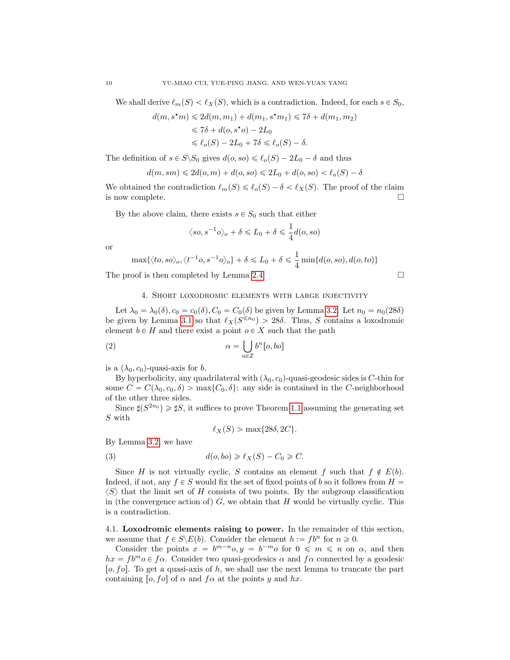We shall derive  $\ell_m(S) < \ell_X(S)$ , which is a contradiction. Indeed, for each  $s \in S_0$ ,

$$
d(m, s^{\star}m) \leq 2d(m, m_1) + d(m_1, s^{\star}m_1) \leq 7\delta + d(m_1, m_2)
$$
  
\n
$$
\leq 7\delta + d(o, s^{\star}o) - 2L_0
$$
  
\n
$$
\leq \ell_o(S) - 2L_0 + 7\delta \leq \ell_o(S) - \delta.
$$

The definition of  $s \in S \backslash S_0$  gives  $d(o, so) \leq \ell_o(S) - 2L_0 - \delta$  and thus

$$
d(m, sm) \le 2d(o, m) + d(o, so) \le 2L_0 + d(o, so) < \ell_o(S) - \delta
$$

We obtained the contradiction  $\ell_m(S) \leq \ell_o(S) - \delta < \ell_X(S)$ . The proof of the claim is now complete.  $\Box$ 

By the above claim, there exists  $s \in S_0$  such that either

$$
\langle so, s^{-1}o \rangle_o + \delta \le L_0 + \delta \le \frac{1}{4}d(o, so)
$$

or

$$
\max\{\langle to, so\rangle_o, \langle t^{-1}o, s^{-1}o\rangle_o\} + \delta \le L_0 + \delta \le \frac{1}{4}\min\{d(o, so), d(o, to)\}
$$

The proof is then completed by Lemma [2.4.](#page-4-3)  $\Box$ 

$$
f_{\rm{max}}
$$

## 4. Short loxodromic elements with large injectivity

<span id="page-9-0"></span>Let  $\lambda_0 = \lambda_0(\delta)$ ,  $c_0 = c_0(\delta)$ ,  $C_0 = C_0(\delta)$  be given by Lemma [3.2.](#page-8-0) Let  $n_0 = n_0(28\delta)$ be given by Lemma [3.1](#page-7-0) so that  $\ell_X(S^{\leq n_0}) > 28\delta$ . Thus, S contains a loxodromic element  $b \in H$  and there exist a point  $o \in X$  such that the path

<span id="page-9-2"></span>(2) 
$$
\alpha = \bigcup_{n \in \mathbb{Z}} b^n [o, bo]
$$

is a  $(\lambda_0, c_0)$ -quasi-axis for b.

By hyperbolicity, any quadrilateral with  $(\lambda_0, c_0)$ -quasi-geodesic sides is C-thin for some  $C = C(\lambda_0, c_0, \delta) > \max\{C_0, \delta\}$ : any side is contained in the C-neighborhood of the other three sides.

Since  $\sharp(S^{2n_0}) \geq \sharp S$ , it suffices to prove Theorem [1.1](#page-1-1) assuming the generating set S with

$$
\ell_X(S) > \max\{28\delta, 2C\}.
$$

By Lemma [3.2,](#page-8-0) we have

<span id="page-9-1"></span>(3) 
$$
d(o, bo) \ge \ell_X(S) - C_0 \ge C.
$$

Since H is not virtually cyclic, S contains an element f such that  $f \notin E(b)$ . Indeed, if not, any  $f \in S$  would fix the set of fixed points of b so it follows from  $H =$  $\langle S \rangle$  that the limit set of H consists of two points. By the subgroup classification in (the convergence action of)  $G$ , we obtain that H would be virtually cyclic. This is a contradiction.

4.1. Loxodromic elements raising to power. In the remainder of this section, we assume that  $f \in S \backslash E(b)$ . Consider the element  $h := f b^n$  for  $n \ge 0$ .

Consider the points  $x = b^{m-n}o, y = b^{-m}o$  for  $0 \leq m \leq n$  on  $\alpha$ , and then  $hx = f b^m o \in f \alpha$ . Consider two quasi-geodesics  $\alpha$  and  $f \alpha$  connected by a geodesic [ $o, f$  $o$ ]. To get a quasi-axis of h, we shall use the next lemma to truncate the part containing [o, fo] of  $\alpha$  and f $\alpha$  at the points y and hx.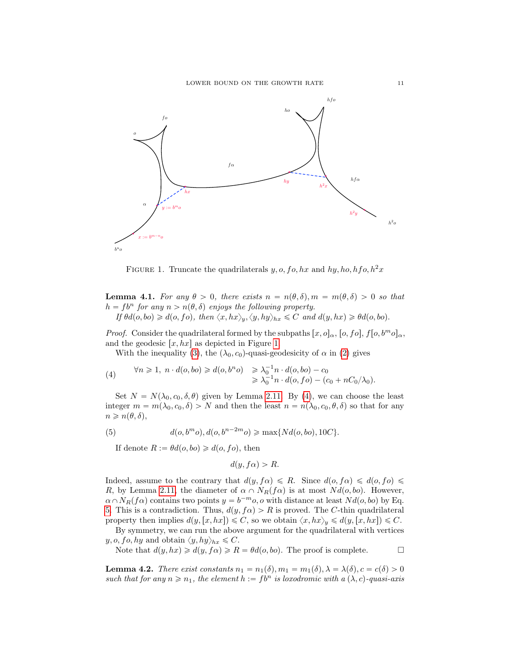

<span id="page-10-0"></span>FIGURE 1. Truncate the quadrilaterals  $y, o, fo, hx$  and  $hy, ho, hfo, h^2x$ 

<span id="page-10-3"></span>**Lemma 4.1.** For any  $\theta > 0$ , there exists  $n = n(\theta, \delta), m = m(\theta, \delta) > 0$  so that  $h = f b^n$  for any  $n > n(\theta, \delta)$  enjoys the following property. If  $\theta d(o, bo) \geq d(o, fo), \text{ then } \langle x, hx \rangle_u, \langle y, hy \rangle_{hx} \leq C \text{ and } d(y, hx) \geq \theta d(o, bo).$ 

*Proof.* Consider the quadrilateral formed by the subpaths  $[x, o]<sub>\alpha</sub>, [o, fo], f[o, b<sup>m</sup>o]<sub>\alpha</sub>$ , and the geodesic  $[x, hx]$  as depicted in Figure [1.](#page-10-0)

<span id="page-10-1"></span>With the inequality [\(3\)](#page-9-1), the  $(\lambda_0, c_0)$ -quasi-geodesicity of  $\alpha$  in [\(2\)](#page-9-2) gives

(4) 
$$
\forall n \geq 1, n \cdot d(o, bo) \geq d(o, b^n o) \geq \lambda_0^{-1} n \cdot d(o, bo) - c_0
$$

$$
\geq \lambda_0^{-1} n \cdot d(o, fo) - (c_0 + nC_0/\lambda_0).
$$

Set  $N = N(\lambda_0, c_0, \delta, \theta)$  given by Lemma [2.11.](#page-6-1) By [\(4\)](#page-10-1), we can choose the least integer  $m = m(\lambda_0, c_0, \delta) > N$  and then the least  $n = n(\lambda_0, c_0, \theta, \delta)$  so that for any  $n \geqslant n(\theta, \delta),$ 

(5) 
$$
d(o, b^m o), d(o, b^{n-2m} o) \ge \max\{Nd(o, bo), 10C\}.
$$

<span id="page-10-2"></span>If denote  $R := \theta d(o, bo) \geq d(o, fo)$ , then

$$
d(y, f\alpha) > R.
$$

Indeed, assume to the contrary that  $d(y, f\alpha) \le R$ . Since  $d(o, f\alpha) \le d(o, fo) \le$ R, by Lemma [2.11,](#page-6-1) the diameter of  $\alpha \cap N_R(f\alpha)$  is at most  $N d(o, bo)$ . However,  $\alpha \cap N_R(f\alpha)$  contains two points  $y = b^{-m}o$ , o with distance at least  $Nd(o, bo)$  by Eq. [5.](#page-10-2) This is a contradiction. Thus,  $d(y, f\alpha) > R$  is proved. The C-thin quadrilateral property then implies  $d(y,[x,hx]) \leq C$ , so we obtain  $\langle x,hx \rangle_y \leq d(y,[x,hx]) \leq C$ .

By symmetry, we can run the above argument for the quadrilateral with vertices  $y, o, fo, hy$  and obtain  $\langle y, hy \rangle_{hx} \leq C$ .

Note that  $d(y, hx) \geq d(y, f\alpha) \geq R = \theta d(o, bo)$ . The proof is complete.

<span id="page-10-4"></span>**Lemma 4.2.** There exist constants  $n_1 = n_1(\delta), m_1 = m_1(\delta), \lambda = \lambda(\delta), c = c(\delta) > 0$ such that for any  $n \geq n_1$ , the element  $h := fb^n$  is loxodromic with a  $(\lambda, c)$ -quasi-axis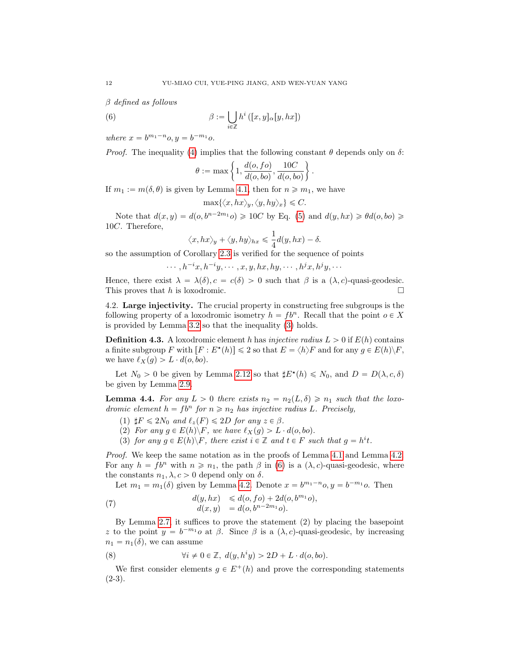β defined as follows

<span id="page-11-0"></span>(6) 
$$
\beta := \bigcup_{i \in \mathbb{Z}} h^i ([x, y]_\alpha [y, hx])
$$

where  $x = b^{m_1 - n} o, y = b^{-m_1} o$ .

*Proof.* The inequality [\(4\)](#page-10-1) implies that the following constant  $\theta$  depends only on  $\delta$ :

$$
\theta := \max \left\{ 1, \frac{d(o, fo)}{d(o, bo)}, \frac{10C}{d(o, bo)} \right\}.
$$

If  $m_1 := m(\delta, \theta)$  is given by Lemma [4.1,](#page-10-3) then for  $n \geq m_1$ , we have

$$
\max\{\langle x, hx \rangle_y, \langle y, hy \rangle_x\} \leq C.
$$

Note that  $d(x, y) = d(o, b^{n-2m_1} o) \geq 10C$  by Eq. [\(5\)](#page-10-2) and  $d(y, hx) \geq \theta d(o, bo) \geq$ 10C. Therefore,

$$
\langle x, hx \rangle_y + \langle y, hy \rangle_{hx} \le \frac{1}{4}d(y,hx) - \delta.
$$

so the assumption of Corollary [2.3](#page-3-3) is verified for the sequence of points

 $\cdots, h^{-i}x, h^{-i}y, \cdots, x, y, hx, hy, \cdots, h^jx, h^jy, \cdots$ 

Hence, there exist  $\lambda = \lambda(\delta), c = c(\delta) > 0$  such that  $\beta$  is a  $(\lambda, c)$ -quasi-geodesic. This proves that h is loxodromic.  $\square$ 

4.2. Large injectivity. The crucial property in constructing free subgroups is the following property of a loxodromic isometry  $h = f b^n$ . Recall that the point  $o \in X$ is provided by Lemma [3.2](#page-8-0) so that the inequality [\(3\)](#page-9-1) holds.

**Definition 4.3.** A loxodromic element h has *injective radius*  $L > 0$  if  $E(h)$  contains a finite subgroup F with  $[F : E^*(h)] \leq 2$  so that  $E = \langle h \rangle F$  and for any  $g \in E(h) \backslash F$ , we have  $\ell_X(g) > L \cdot d(o, bo)$ .

Let  $N_0 > 0$  be given by Lemma [2.12](#page-7-2) so that  $\sharp E^{\star}(h) \leq N_0$ , and  $D = D(\lambda, c, \delta)$ be given by Lemma [2.9.](#page-5-1)

<span id="page-11-3"></span>**Lemma 4.4.** For any  $L > 0$  there exists  $n_2 = n_2(L, \delta) \geq n_1$  such that the loxodromic element  $h = f b^n$  for  $n \geq n_2$  has injective radius L. Precisely,

- (1)  $\sharp F \leq 2N_0$  and  $\ell_z(F) \leq 2D$  for any  $z \in \beta$ .
- (2) For any  $g \in E(h) \backslash F$ , we have  $\ell_X(g) > L \cdot d(o, bo)$ .
- (3) for any  $g \in E(h) \backslash F$ , there exist  $i \in \mathbb{Z}$  and  $t \in F$  such that  $g = h^i t$ .

Proof. We keep the same notation as in the proofs of Lemma [4.1](#page-10-3) and Lemma [4.2.](#page-10-4) For any  $h = f b^n$  with  $n \geq n_1$ , the path  $\beta$  in [\(6\)](#page-11-0) is a  $(\lambda, c)$ -quasi-geodesic, where the constants  $n_1, \lambda, c > 0$  depend only on  $\delta$ .

<span id="page-11-1"></span>Let  $m_1 = m_1(\delta)$  given by Lemma [4.2.](#page-10-4) Denote  $x = b^{m_1-n}$ o,  $y = b^{-m_1}$ o. Then

(7) 
$$
d(y, hx) \le d(o, fo) + 2d(o, b^{m_1}o), d(x, y) = d(o, b^{n-2m_1}o).
$$

By Lemma [2.7,](#page-4-1) it suffices to prove the statement (2) by placing the basepoint z to the point  $y = b^{-m_1}o$  at  $\beta$ . Since  $\beta$  is a  $(\lambda, c)$ -quasi-geodesic, by increasing  $n_1 = n_1(\delta)$ , we can assume

<span id="page-11-2"></span>(8) 
$$
\forall i \neq 0 \in \mathbb{Z}, d(y, h^i y) > 2D + L \cdot d(o, bo).
$$

We first consider elements  $g \in E^+(h)$  and prove the corresponding statements  $(2-3).$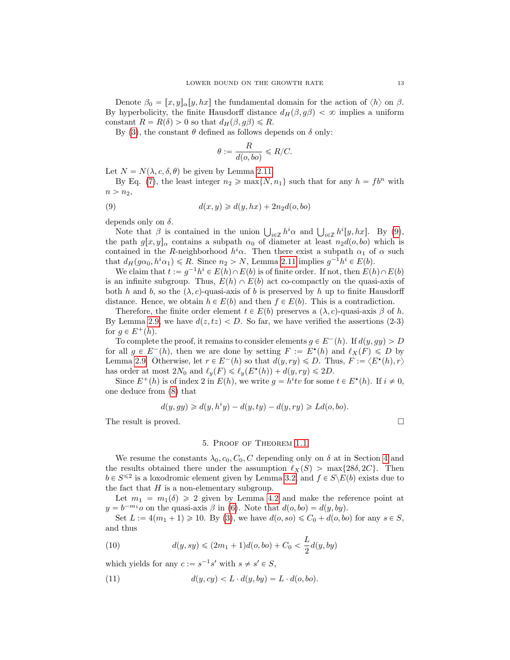Denote  $\beta_0 = [x, y]_{\alpha}[y, hx]$  the fundamental domain for the action of  $\langle h \rangle$  on  $\beta$ . By hyperbolicity, the finite Hausdorff distance  $d_H(\beta, g\beta) < \infty$  implies a uniform constant  $R = R(\delta) > 0$  so that  $d_H(\beta, g\beta) \le R$ .

By [\(3\)](#page-9-1), the constant  $\theta$  defined as follows depends on  $\delta$  only:

<span id="page-12-1"></span>
$$
\theta := \frac{R}{d(o, bo)} \le R/C.
$$

Let  $N = N(\lambda, c, \delta, \theta)$  be given by Lemma [2.11.](#page-6-1)

By Eq. [\(7\)](#page-11-1), the least integer  $n_2 \ge \max\{N, n_1\}$  such that for any  $h = f b^n$  with  $n > n_2$ ,

(9) 
$$
d(x,y) \geq d(y,hx) + 2n_2d(o,bo)
$$

depends only on  $\delta$ .

bends only on  $\delta$ .<br>Note that  $\beta$  is contained in the union  $\bigcup_{i\in\mathbb{Z}} h^i\alpha$  and  $\bigcup_{i\in\mathbb{Z}} h^i[y,hx]$ . By [\(9\)](#page-12-1), the path  $g[x, y]_{\alpha}$  contains a subpath  $\alpha_0$  of diameter at least  $n_2d(o, bo)$  which is contained in the R-neighborhood  $h^i\alpha$ . Then there exist a subpath  $\alpha_1$  of  $\alpha$  such that  $d_H(g\alpha_0, h^i\alpha_1) \le R$ . Since  $n_2 > N$ , Lemma [2.11](#page-6-1) implies  $g^{-1}h^i \in E(b)$ .

We claim that  $t := g^{-1}h^i \in E(h) \cap E(b)$  is of finite order. If not, then  $E(h) \cap E(b)$ is an infinite subgroup. Thus,  $E(h) \cap E(b)$  act co-compactly on the quasi-axis of both h and b, so the  $(\lambda, c)$ -quasi-axis of b is preserved by h up to finite Hausdorff distance. Hence, we obtain  $h \in E(b)$  and then  $f \in E(b)$ . This is a contradiction.

Therefore, the finite order element  $t \in E(b)$  preserves a  $(\lambda, c)$ -quasi-axis  $\beta$  of h. By Lemma [2.9,](#page-5-1) we have  $d(z, tz) < D$ . So far, we have verified the assertions (2-3) for  $q \in E^+(h)$ .

To complete the proof, it remains to consider elements  $g \in E^-(h)$ . If  $d(y, gy) > D$ for all  $g \in E^-(h)$ , then we are done by setting  $F := E^*(h)$  and  $\ell_X(F) \leq D$  by Lemma [2.9.](#page-5-1) Otherwise, let  $r \in E^-(h)$  so that  $d(y, ry) \le D$ . Thus,  $F := \langle E^{\star}(h), r \rangle$ has order at most  $2N_0$  and  $\ell_y(F) \leq \ell_y(E^{\star}(h)) + d(y, ry) \leq 2D$ .

Since  $E^+(h)$  is of index 2 in  $E(h)$ , we write  $g = h^i t v$  for some  $t \in E^*(h)$ . If  $i \neq 0$ , one deduce from [\(8\)](#page-11-2) that

$$
d(y, gy) \ge d(y, hiy) - d(y, ty) - d(y, ry) \ge Ld(o, bo).
$$

The result is proved.

### 5. Proof of Theorem [1.1](#page-1-1)

<span id="page-12-0"></span>We resume the constants  $\lambda_0, c_0, C_0, C$  depending only on  $\delta$  at in Section [4](#page-9-0) and the results obtained there under the assumption  $\ell_X(S) > \max\{28\delta, 2C\}$ . Then  $b \in S^{\leq 2}$  is a loxodromic element given by Lemma [3.2,](#page-8-0) and  $f \in S \backslash E(b)$  exists due to the fact that  $H$  is a non-elementary subgroup.

Let  $m_1 = m_1(\delta) \geq 2$  given by Lemma [4.2](#page-10-4) and make the reference point at  $y = b^{-m_1}o$  on the quasi-axis  $\beta$  in [\(6\)](#page-11-0). Note that  $d(o, bo) = d(y, by)$ .

Set  $L := 4(m_1 + 1) \ge 10$ . By [\(3\)](#page-9-1), we have  $d(o, so) \le C_0 + d(o, bo)$  for any  $s \in S$ , and thus

<span id="page-12-3"></span>(10) 
$$
d(y, sy) \leq (2m_1 + 1)d(o, bo) + C_0 < \frac{L}{2}d(y, by)
$$

which yields for any  $c := s^{-1}s'$  with  $s \neq s' \in S$ ,

<span id="page-12-2"></span>(11) 
$$
d(y, cy) < L \cdot d(y, by) = L \cdot d(o, bo).
$$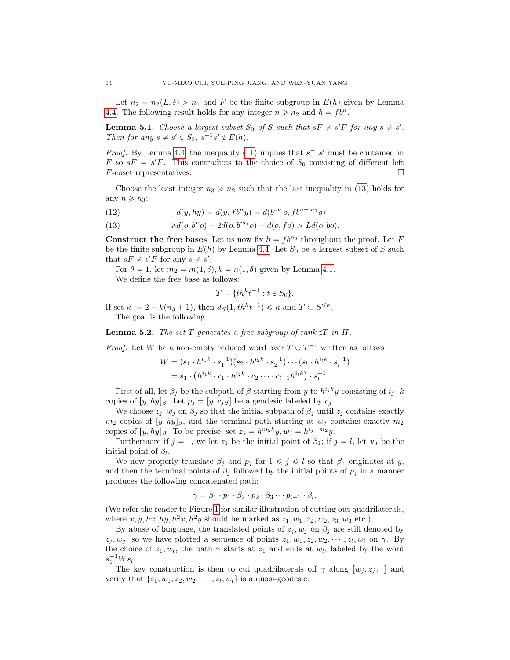Let  $n_2 = n_2(L, \delta) > n_1$  and F be the finite subgroup in  $E(h)$  given by Lemma [4.4.](#page-11-3) The following result holds for any integer  $n \ge n_2$  and  $h = f b^n$ .

**Lemma 5.1.** Choose a largest subset  $S_0$  of S such that  $sF \neq s'F$  for any  $s \neq s'$ . Then for any  $s \neq s' \in S_0$ ,  $s^{-1}s' \notin E(h)$ .

*Proof.* By Lemma [4.4,](#page-11-3) the inequality [\(11\)](#page-12-2) implies that  $s^{-1}s'$  must be contained in F so  $sF = s'F$ . This contradicts to the choice of  $S_0$  consisting of different left  $F\text{-coset representatives.}$ 

Choose the least integer  $n_3 \geqslant n_2$  such that the last inequality in [\(13\)](#page-13-0) holds for any  $n \geq n_3$ :

(12) 
$$
d(y, hy) = d(y, f b^n y) = d(b^{m_1} o, f b^{n+m_1} o)
$$

<span id="page-13-0"></span>(13)  $\geq d(o, b^n o) - 2d(o, b^{m_1} o) - d(o, fo) > Ld(o, bo).$ 

**Construct the free bases.** Let us now fix  $h = f b^{n_3}$  throughout the proof. Let F be the finite subgroup in  $E(h)$  by Lemma [4.4.](#page-11-3) Let  $S_0$  be a largest subset of S such that  $sF \neq s'F$  for any  $s \neq s'$ .

For  $\theta = 1$ , let  $m_2 = m(1, \delta)$ ,  $k = n(1, \delta)$  given by Lemma [4.1.](#page-10-3)

We define the free base as follows:

$$
T = \{th^k t^{-1} : t \in S_0\}.
$$

If set  $\kappa := 2 + k(n_3 + 1)$ , then  $d_S(1, th^k t^{-1}) \leq \kappa$  and  $T \subset S^{\leq \kappa}$ . The goal is the following.

**Lemma 5.2.** The set T generates a free subgroup of rank  $\sharp T$  in H.

*Proof.* Let W be a non-empty reduced word over  $T \cup T^{-1}$  written as follows

$$
W = (s_1 \cdot h^{i_1 k} \cdot s_1^{-1})(s_2 \cdot h^{i_2 k} \cdot s_2^{-1}) \cdots (s_l \cdot h^{i_l k} \cdot s_l^{-1})
$$
  
=  $s_1 \cdot (h^{i_1 k} \cdot c_1 \cdot h^{i_2 k} \cdot c_2 \cdots c_{l-1} h^{i_l k}) \cdot s_l^{-1}$ 

First of all, let  $\beta_j$  be the subpath of  $\beta$  starting from y to  $h^{i_j k}y$  consisting of  $i_j \cdot k$ copies of  $[y, hy]_{\beta}$ . Let  $p_j = [y, c_j y]$  be a geodesic labeled by  $c_j$ .

We choose  $z_j, w_j$  on  $\beta_j$  so that the initial subpath of  $\beta_j$  until  $z_j$  contains exactly  $m_2$  copies of  $[y, hy]_\beta$ , and the terminal path starting at  $w_j$  contains exactly  $m_2$ copies of  $[y, hy]_{\beta}$ . To be precise, set  $z_j = h^{m_2 k} y, w_j = h^{i_j - m_2} y$ .

Furthermore if  $j = 1$ , we let  $z_1$  be the initial point of  $\beta_1$ ; if  $j = l$ , let  $w_l$  be the initial point of  $\beta_l$ .

We now properly translate  $\beta_j$  and  $p_j$  for  $1 \leq j \leq l$  so that  $\beta_1$  originates at y, and then the terminal points of  $\beta_j$  followed by the initial points of  $p_j$  in a manner produces the following concatenated path:

$$
\gamma = \beta_1 \cdot p_1 \cdot \beta_2 \cdot p_2 \cdot \beta_3 \cdots p_{l-1} \cdot \beta_l.
$$

(We refer the reader to Figure [1](#page-10-0) for similar illustration of cutting out quadrilaterals, where  $x, y, hx, hy, h^2x, h^2y$  should be marked as  $z_1, w_1, z_2, w_2, z_3, w_3$  etc.)

By abuse of language, the translated points of  $z_i, w_j$  on  $\beta_i$  are still denoted by  $z_j, w_j$ , so we have plotted a sequence of points  $z_1, w_1, z_2, w_2, \dots, z_l, w_l$  on  $\gamma$ . By the choice of  $z_1, w_l$ , the path  $\gamma$  starts at  $z_1$  and ends at  $w_l$ , labeled by the word  $s_1^{-1} W s_l.$ 

The key construction is then to cut quadrilaterals off  $\gamma$  along  $[w_i, z_{i+1}]$  and verify that  $\{z_1, w_1, z_2, w_2, \cdots, z_l, w_l\}$  is a quasi-geodesic.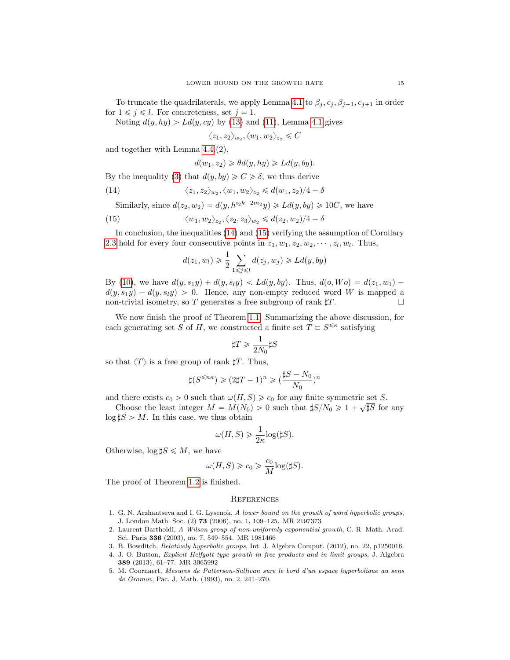To truncate the quadrilaterals, we apply Lemma [4.1](#page-10-3) to  $\beta_j, c_j, \beta_{j+1}, c_{j+1}$  in order for  $1 \leq j \leq l$ . For concreteness, set  $j = 1$ .

Noting  $d(y, hy) > Ld(y, cy)$  by [\(13\)](#page-13-0) and [\(11\)](#page-12-2), Lemma [4.1](#page-10-3) gives

 $\langle z_1, z_2 \rangle_{w_2}, \langle w_1, w_2 \rangle_{z_2} \leqslant C$ 

and together with Lemma [4.4.](#page-11-3)(2),

$$
d(w_1, z_2) \geq \theta d(y, hy) \geq Ld(y, by).
$$

By the inequality [\(3\)](#page-9-1) that  $d(y, by) \geq C \geq \delta$ , we thus derive

<span id="page-14-5"></span>(14) 
$$
\langle z_1, z_2 \rangle_{w_2}, \langle w_1, w_2 \rangle_{z_2} \le d(w_1, z_2)/4 - \delta
$$

Similarly, since  $d(z_2, w_2) = d(y, h^{i_2k-2m_2}y) \ge Ld(y, by) \ge 10C$ , we have

<span id="page-14-6"></span>(15) 
$$
\langle w_1, w_2 \rangle_{z_2}, \langle z_2, z_3 \rangle_{w_2} \leq d(z_2, w_2)/4 - \delta
$$

In conclusion, the inequalities [\(14\)](#page-14-5) and [\(15\)](#page-14-6) verifying the assumption of Corollary [2.3](#page-3-3) hold for every four consecutive points in  $z_1, w_1, z_2, w_2, \dots, z_l, w_l$ . Thus,

$$
d(z_1, w_l) \geq \frac{1}{2} \sum_{1 \leq j \leq l} d(z_j, w_j) \geq Ld(y, by)
$$

By [\(10\)](#page-12-3), we have  $d(y, s_1y) + d(y, s_1y) < Ld(y, by)$ . Thus,  $d(o, Wo) = d(z_1, w_1)$  $d(y, s_1y) - d(y, s_1y) > 0$ . Hence, any non-empty reduced word W is mapped a non-trivial isometry, so T generates a free subgroup of rank  $\sharp T$ .

We now finish the proof of Theorem [1.1.](#page-1-1) Summarizing the above discussion, for each generating set S of H, we constructed a finite set  $T \subset S^{\leq \kappa}$  satisfying

$$
\sharp T\geqslant\frac{1}{2N_0}\sharp S
$$

so that  $\langle T \rangle$  is a free group of rank  $\sharp T$ . Thus,

$$
\sharp (S^{\leqslant n\kappa})\geqslant (2\sharp T-1)^n\geqslant (\frac{\sharp S-N_0}{N_0})^n
$$

and there exists  $c_0 > 0$  such that  $\omega(H, S) \geq c_0$  for any finite symmetric set S.

Choose the least integer  $M = M(N_0) > 0$  such that  $\sharp S/N_0 \geq 1 + \sqrt{\sharp S}$  for any  $\log \sharp S > M$ . In this case, we thus obtain

$$
\omega(H, S) \geq \frac{1}{2\kappa} \log(\sharp S).
$$

Otherwise,  $\log \sharp S \leqslant M$ , we have

$$
\omega(H,S) \geq c_0 \geq \frac{c_0}{M}{\log(\sharp S)}.
$$

The proof of Theorem [1.2](#page-2-1) is finished.

# **REFERENCES**

- <span id="page-14-1"></span>1. G. N. Arzhantseva and I. G. Lysenok, A lower bound on the growth of word hyperbolic groups, J. London Math. Soc. (2) 73 (2006), no. 1, 109–125. MR 2197373
- <span id="page-14-0"></span>2. Laurent Bartholdi, A Wilson group of non-uniformly exponential growth, C. R. Math. Acad. Sci. Paris 336 (2003), no. 7, 549–554. MR 1981466
- <span id="page-14-3"></span>3. B. Bowditch, Relatively hyperbolic groups, Int. J. Algebra Comput. (2012), no. 22, p1250016.
- <span id="page-14-4"></span>4. J. O. Button, Explicit Helfgott type growth in free products and in limit groups, J. Algebra 389 (2013), 61–77. MR 3065992
- <span id="page-14-2"></span>5. M. Coornaert, Mesures de Patterson-Sullivan sure le bord d'un espace hyperbolique au sens de Gromov, Pac. J. Math. (1993), no. 2, 241–270.